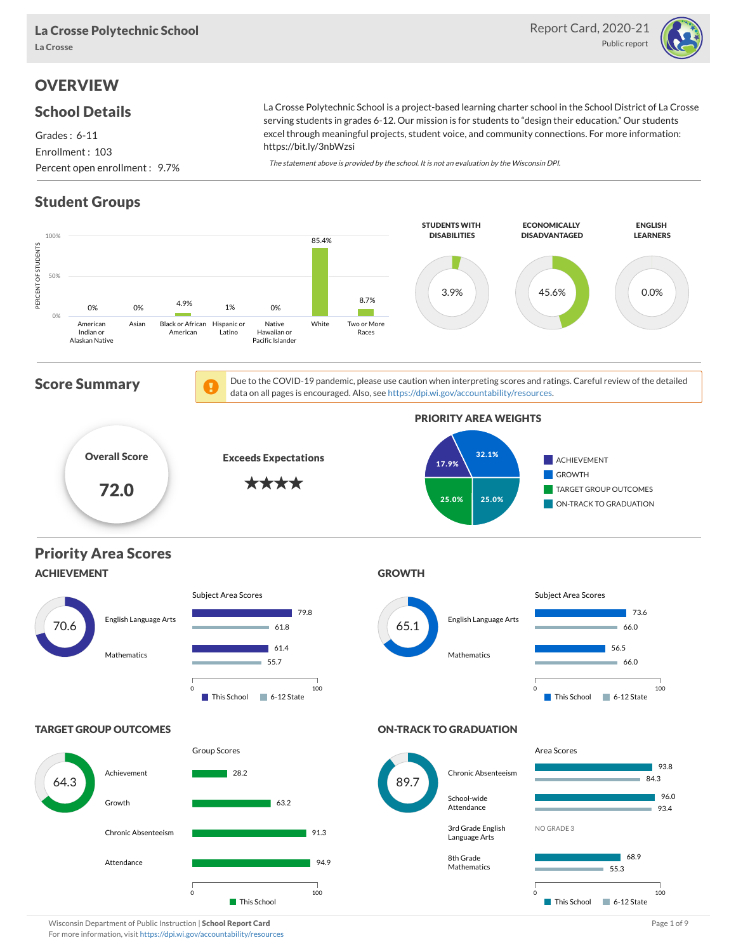

## **OVERVIEW**

#### School Details

Grades : 6-11 Enrollment : 103 Percent open enrollment : 9.7%

La Crosse Polytechnic School is a project-based learning charter school in the School District of La Crosse serving students in grades 6-12. Our mission is for students to "design their education." Our students excel through meaningful projects, student voice, and community connections. For more information: https://bit.ly/3nbWzsi

The statement above is provided by the school. It is not an evaluation by the Wisconsin DPI.

#### Student Groups



Wisconsin Department of Public Instruction | School Report Card Page 1 of 9 and Page 1 of 9 and Page 1 of 9 and Page 1 of 9 and Page 1 of 9 and Page 1 of 9 and Page 1 of 9 and Page 1 of 9 and Page 1 of 9 and Page 1 of 9 an For more information, visit <https://dpi.wi.gov/accountability/resources>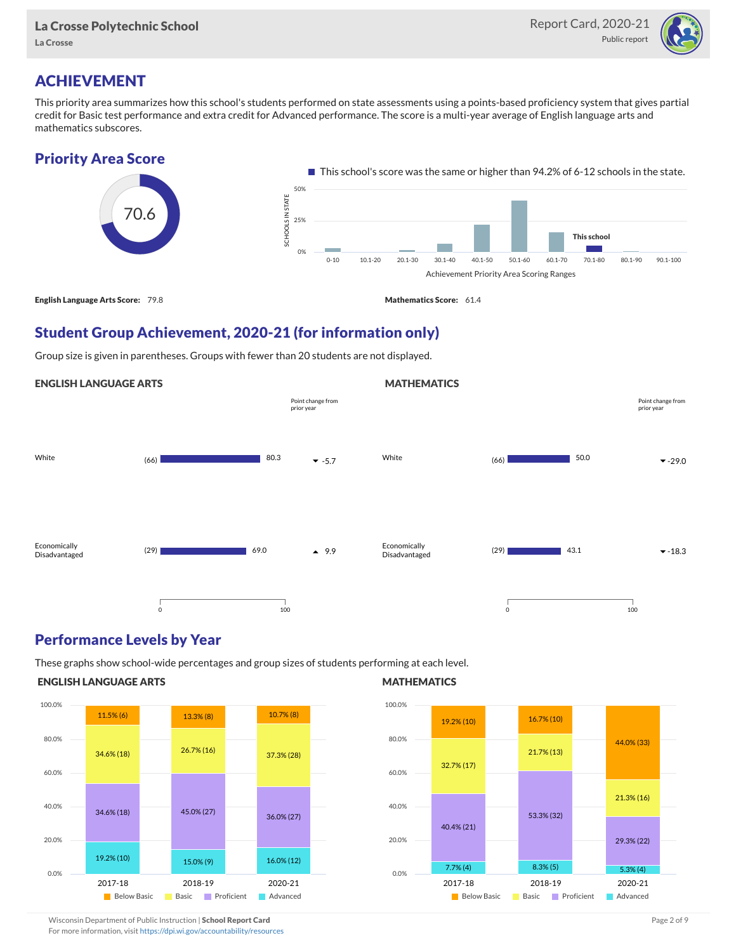

## ACHIEVEMENT

This priority area summarizes how this school's students performed on state assessments using a points-based proficiency system that gives partial credit for Basic test performance and extra credit for Advanced performance. The score is a multi-year average of English language arts and mathematics subscores.



## Student Group Achievement, 2020-21 (for information only)

Group size is given in parentheses. Groups with fewer than 20 students are not displayed.

#### ENGLISH LANGUAGE ARTS White  $(66)$   $(66)$   $(67)$   $(68)$   $(69)$   $(69)$   $(69)$   $(69)$   $(69)$   $(69)$   $(69)$   $(69)$   $(69)$   $(69)$   $(69)$   $(69)$   $(69)$   $(69)$   $(69)$   $(69)$   $(69)$   $(69)$   $(69)$   $(69)$   $(69)$   $(69)$   $(69)$   $(69)$   $(69)$   $(69)$   $(69)$ Economically Disadvantaged  $(29)$  4 9.9 80.3 69.0 0 100 Point change from prior year **MATHEMATICS** White  $(66)$   $50.0$   $\bullet$  -29.0 Economically Disadvantaged  $(29)$   $43.1$   $\sqrt{18.3}$ 50.0 43.1 0 100 Point change from prior year

#### Performance Levels by Year

These graphs show school-wide percentages and group sizes of students performing at each level.

#### ENGLISH LANGUAGE ARTS



#### **MATHEMATICS**



Wisconsin Department of Public Instruction | School Report Card Page 2 of 9 and 2 of 9 and 2 of 9 and 2 of 9 and 2 of 9 and 2 of 9 and 2 of 9 and 2 of 9 and 2 of 9 and 2 of 9 and 2 of 9 and 2 of 9 and 2 of 9 and 2 of 9 and

For more information, visit <https://dpi.wi.gov/accountability/resources>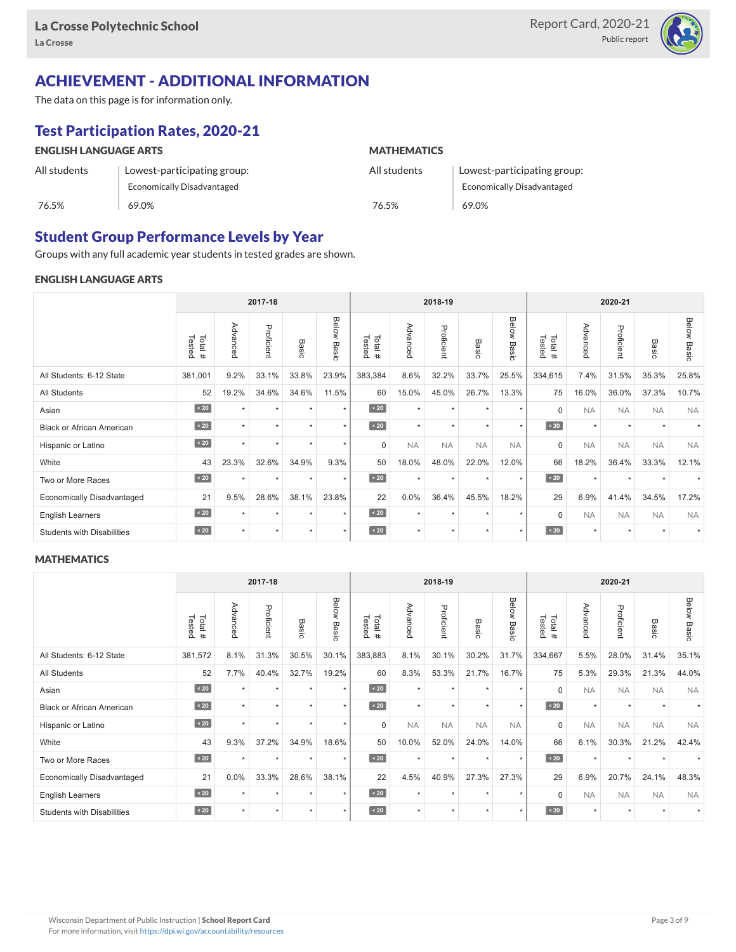

## ACHIEVEMENT - ADDITIONAL INFORMATION

The data on this page is for information only.

## Test Participation Rates, 2020-21

| <b>ENGLISH LANGUAGE ARTS</b> |                             | <b>MATHEMATICS</b> |                                   |  |  |  |  |
|------------------------------|-----------------------------|--------------------|-----------------------------------|--|--|--|--|
| All students                 | Lowest-participating group: | All students       | Lowest-participating group:       |  |  |  |  |
|                              | Economically Disadvantaged  |                    | <b>Economically Disadvantaged</b> |  |  |  |  |
| 76.5%                        | 69.0%                       | 76.5%              | 69.0%                             |  |  |  |  |

#### Student Group Performance Levels by Year

Groups with any full academic year students in tested grades are shown.

#### ENGLISH LANGUAGE ARTS

|                                   | 2017-18          |          |            |         | 2018-19            |                  |           |            | 2020-21         |                |                  |           |            |           |                    |
|-----------------------------------|------------------|----------|------------|---------|--------------------|------------------|-----------|------------|-----------------|----------------|------------------|-----------|------------|-----------|--------------------|
|                                   | Tested<br>Total# | Advanced | Proficient | Basic   | <b>Below Basic</b> | Tested<br>Total# | Advanced  | Proficient | Basi<br>$\circ$ | Below<br>Basic | Tested<br>Total# | Advancec  | Proficient | Basic     | <b>Below Basic</b> |
| All Students: 6-12 State          | 381,001          | 9.2%     | 33.1%      | 33.8%   | 23.9%              | 383,384          | 8.6%      | 32.2%      | 33.7%           | 25.5%          | 334,615          | 7.4%      | 31.5%      | 35.3%     | 25.8%              |
| All Students                      | 52               | 19.2%    | 34.6%      | 34.6%   | 11.5%              | 60               | 15.0%     | 45.0%      | 26.7%           | 13.3%          | 75               | 16.0%     | 36.0%      | 37.3%     | 10.7%              |
| Asian                             | $\sim 20$        |          | ٠          | ٠       | $\star$            | $\angle 20$      | $\star$   | $\star$    |                 | $\star$        | $\mathbf 0$      | <b>NA</b> | <b>NA</b>  | <b>NA</b> | <b>NA</b>          |
| <b>Black or African American</b>  | $\sim 20$        | $\star$  | $\star$    |         | $\star$            | $\sim 20$        | $\star$   | $\star$    | $\ddot{}$       | $\star$        | $\sim 20$        | $\star$   | $\star$    |           |                    |
| Hispanic or Latino                | $\angle 20$      | ÷        | ٠          | ٠       | $\star$            | $\Omega$         | <b>NA</b> | <b>NA</b>  | <b>NA</b>       | <b>NA</b>      | $\mathbf 0$      | <b>NA</b> | <b>NA</b>  | <b>NA</b> | <b>NA</b>          |
| White                             | 43               | 23.3%    | 32.6%      | 34.9%   | 9.3%               | 50               | 18.0%     | 48.0%      | 22.0%           | 12.0%          | 66               | 18.2%     | 36.4%      | 33.3%     | 12.1%              |
| Two or More Races                 | $\sim 20$        | $\star$  | $\star$    | $\star$ | $\star$            | $\angle 20$      | $\star$   | $\star$    | $\star$         | $\star$        | $\sim 20$        | $\star$   | $\star$    |           | $\star$            |
| <b>Economically Disadvantaged</b> | 21               | 9.5%     | 28.6%      | 38.1%   | 23.8%              | 22               | 0.0%      | 36.4%      | 45.5%           | 18.2%          | 29               | 6.9%      | 41.4%      | 34.5%     | 17.2%              |
| <b>English Learners</b>           | $\sim 20$        | ٠        | ٠          | ٠       | $\star$            | $\sim 20$        | $\star$   | $\star$    | $\star$         | $\star$        | $\Omega$         | <b>NA</b> | <b>NA</b>  | <b>NA</b> | <b>NA</b>          |
| <b>Students with Disabilities</b> | $\sim 20$        | $\star$  | $\star$    | $\star$ | $\star$            | $\angle 20$      | $\star$   | $\star$    | $\star$         | $\star$        | $\angle 20$      | $\star$   | $\star$    | $\star$   |                    |

#### **MATHEMATICS**

|                                   | 2017-18          |          |            |         |                | 2018-19          |           |            |           | 2020-21        |                  |           |            |           |                    |
|-----------------------------------|------------------|----------|------------|---------|----------------|------------------|-----------|------------|-----------|----------------|------------------|-----------|------------|-----------|--------------------|
|                                   | Total#<br>Tested | Advanced | Proficient | Basic   | Below<br>Basic | Tested<br>Total# | Advanced  | Proficient | Basic     | Below<br>Basic | Tested<br>Total# | Advanced  | Proficient | Basic     | <b>Below Basic</b> |
| All Students: 6-12 State          | 381,572          | 8.1%     | 31.3%      | 30.5%   | 30.1%          | 383,883          | 8.1%      | 30.1%      | 30.2%     | 31.7%          | 334,667          | 5.5%      | 28.0%      | 31.4%     | 35.1%              |
| All Students                      | 52               | 7.7%     | 40.4%      | 32.7%   | 19.2%          | 60               | 8.3%      | 53.3%      | 21.7%     | 16.7%          | 75               | 5.3%      | 29.3%      | 21.3%     | 44.0%              |
| Asian                             | $\sim 20$        | $\star$  | ٠          | ٠       | $\star$        | $\sim 20$        | $\star$   | $\star$    | $\ddot{}$ | $\star$        | $\mathbf 0$      | <b>NA</b> | <b>NA</b>  | <b>NA</b> | <b>NA</b>          |
| <b>Black or African American</b>  | $\angle 20$      | $\star$  | $\star$    | ٠       | $\star$        | $\angle 20$      | $\star$   | $\star$    | $\ddot{}$ | $\star$        | $\sim 20$        | $\star$   | $\star$    |           |                    |
| Hispanic or Latino                | $\sim 20$        | $\star$  | $\star$    | $\star$ | $\star$        | $\Omega$         | <b>NA</b> | <b>NA</b>  | <b>NA</b> | <b>NA</b>      | 0                | <b>NA</b> | <b>NA</b>  | <b>NA</b> | <b>NA</b>          |
| White                             | 43               | 9.3%     | 37.2%      | 34.9%   | 18.6%          | 50               | 10.0%     | 52.0%      | 24.0%     | 14.0%          | 66               | 6.1%      | 30.3%      | 21.2%     | 42.4%              |
| Two or More Races                 | $\sim 20$        | $\star$  | $\star$    | $\star$ | $\star$        | $\sim 20$        | $\star$   | $\star$    | $\star$   | $\star$        | $\angle 20$      | $\star$   | $\star$    |           |                    |
| <b>Economically Disadvantaged</b> | 21               | $0.0\%$  | 33.3%      | 28.6%   | 38.1%          | 22               | 4.5%      | 40.9%      | 27.3%     | 27.3%          | 29               | 6.9%      | 20.7%      | 24.1%     | 48.3%              |
| <b>English Learners</b>           | $\sim 20$        | $\star$  | $\star$    | $\star$ | $\star$        | $\sim 20$        | $\star$   | $\star$    | $\star$   | $\star$        | $\Omega$         | <b>NA</b> | <b>NA</b>  | <b>NA</b> | <b>NA</b>          |
| <b>Students with Disabilities</b> | $\sim 20$        | $\star$  | ٠          | ٠       | $\star$        | $\angle 20$      | $\star$   | $\star$    | $\star$   | $\star$        | $\sim 20$        | $\star$   | $\star$    | $\star$   |                    |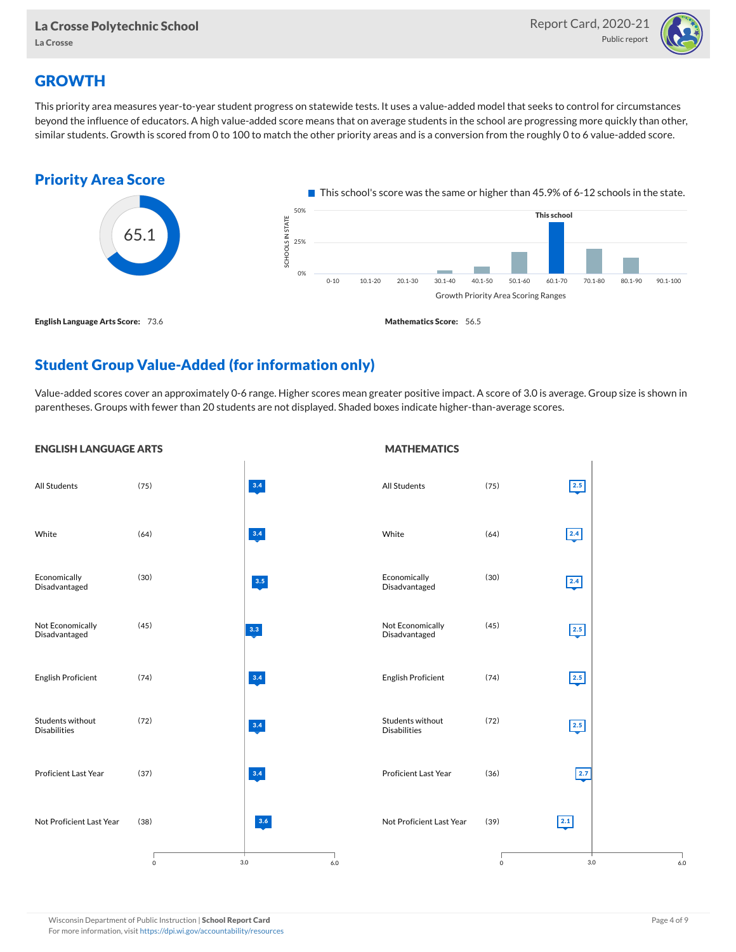

#### **GROWTH**

This priority area measures year-to-year student progress on statewide tests. It uses a value-added model that seeks to control for circumstances beyond the influence of educators. A high value-added score means that on average students in the school are progressing more quickly than other, similar students. Growth is scored from 0 to 100 to match the other priority areas and is a conversion from the roughly 0 to 6 value-added score.



#### Student Group Value-Added (for information only)

Value-added scores cover an approximately 0-6 range. Higher scores mean greater positive impact. A score of 3.0 is average. Group size is shown in parentheses. Groups with fewer than 20 students are not displayed. Shaded boxes indicate higher-than-average scores.

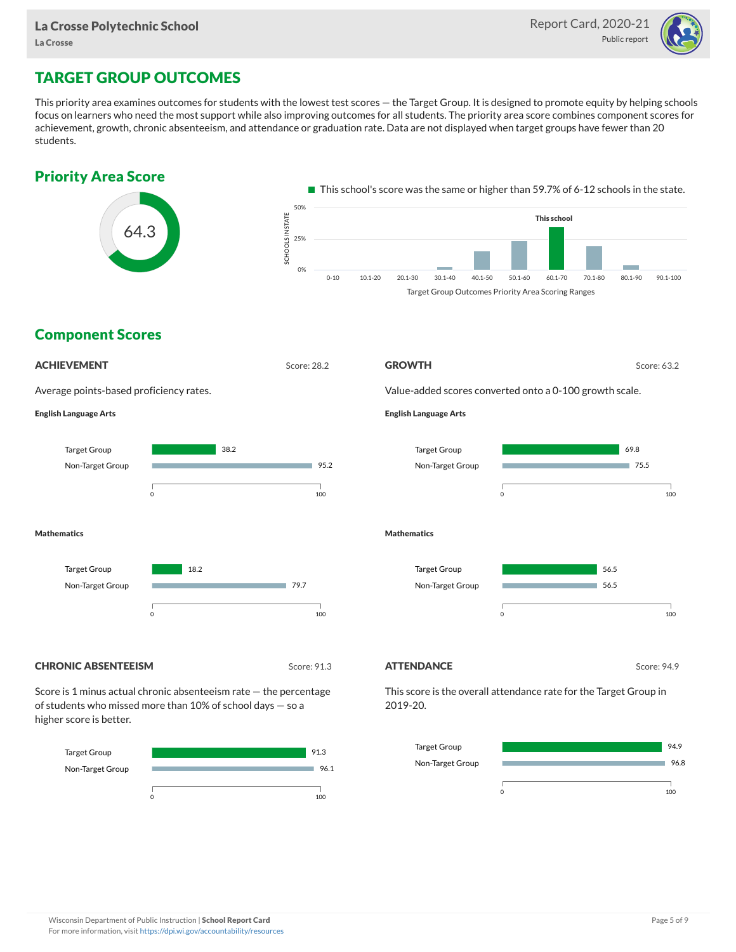

## TARGET GROUP OUTCOMES

This priority area examines outcomes for students with the lowest test scores — the Target Group. It is designed to promote equity by helping schools focus on learners who need the most support while also improving outcomes for all students. The priority area score combines component scores for achievement, growth, chronic absenteeism, and attendance or graduation rate. Data are not displayed when target groups have fewer than 20 students.





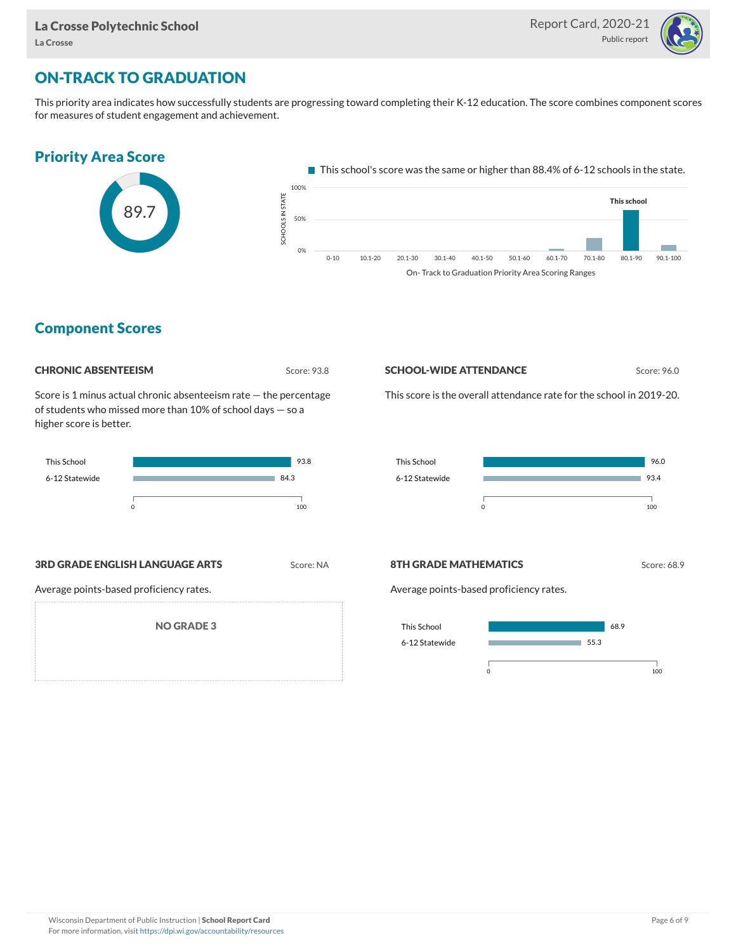

## ON-TRACK TO GRADUATION

This priority area indicates how successfully students are progressing toward completing their K-12 education. The score combines component scores for measures of student engagement and achievement.



#### Component Scores



Score is 1 minus actual chronic absenteeism rate — the percentage of students who missed more than 10% of school days — so a higher score is better.



#### **SCHOOL-WIDE ATTENDANCE** Score: 96.0

This score is the overall attendance rate for the school in 2019-20.



**3RD GRADE ENGLISH LANGUAGE ARTS** Score: NA

Average points-based proficiency rates.

NO GRADE 3

#### **8TH GRADE MATHEMATICS** Score: 68.9

Average points-based proficiency rates.

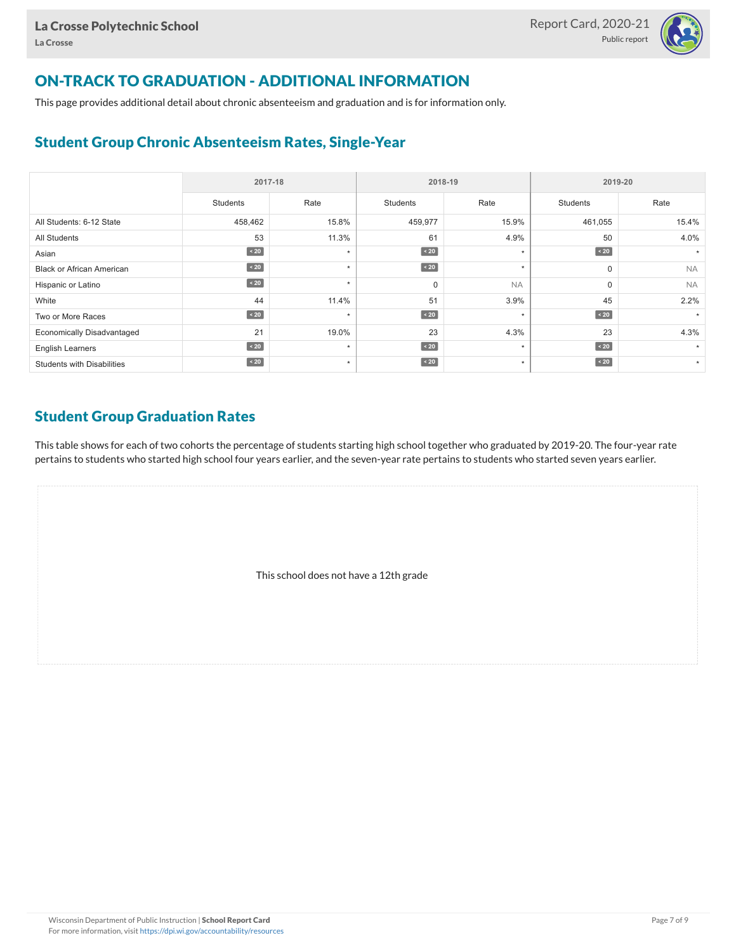

## ON-TRACK TO GRADUATION - ADDITIONAL INFORMATION

This page provides additional detail about chronic absenteeism and graduation and is for information only.

#### Student Group Chronic Absenteeism Rates, Single-Year

|                                   | 2017-18   |         |                 | 2018-19   | 2019-20         |           |  |  |
|-----------------------------------|-----------|---------|-----------------|-----------|-----------------|-----------|--|--|
|                                   | Students  | Rate    | <b>Students</b> | Rate      | <b>Students</b> | Rate      |  |  |
| All Students: 6-12 State          | 458,462   | 15.8%   | 459,977         | 15.9%     | 461,055         | 15.4%     |  |  |
| All Students                      | 53        | 11.3%   | 61              | 4.9%      | 50              | 4.0%      |  |  |
| Asian                             | $\sim 20$ | $\star$ | $\sim 20$       | $\star$   | $\sim 20$       |           |  |  |
| <b>Black or African American</b>  | $\sim 20$ | $\star$ | $\sim 20$       | $\star$   | 0               | <b>NA</b> |  |  |
| Hispanic or Latino                | $\sim 20$ | $\star$ | $\mathbf 0$     | <b>NA</b> | 0               | <b>NA</b> |  |  |
| White                             | 44        | 11.4%   | 51              | 3.9%      | 45              | 2.2%      |  |  |
| Two or More Races                 | $\sim 20$ | $\star$ | $\sim 20$       | $\star$   | $\angle 20$     |           |  |  |
| <b>Economically Disadvantaged</b> | 21        | 19.0%   | 23              | 4.3%      | 23              | 4.3%      |  |  |
| <b>English Learners</b>           | $\sim 20$ | $\star$ | $\sim 20$       | $\star$   | $\angle 20$     |           |  |  |
| <b>Students with Disabilities</b> | $\sim 20$ | $\star$ | $\sim 20$       | $\star$   | $\sim 20$       | $\star$   |  |  |

#### Student Group Graduation Rates

This table shows for each of two cohorts the percentage of students starting high school together who graduated by 2019-20. The four-year rate pertains to students who started high school four years earlier, and the seven-year rate pertains to students who started seven years earlier.

This school does not have a 12th grade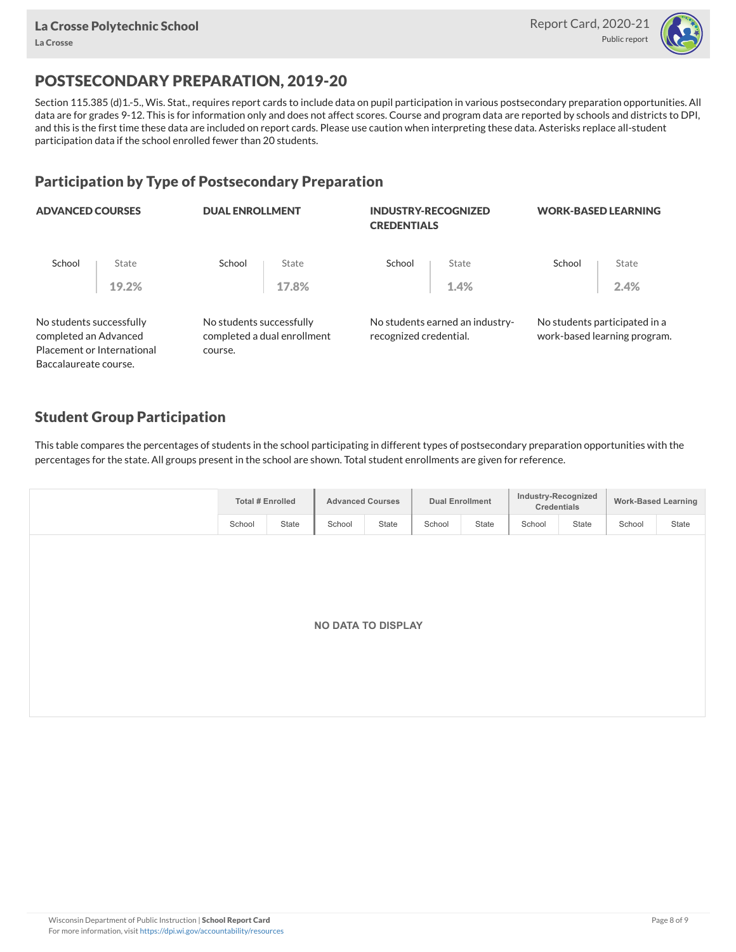

## POSTSECONDARY PREPARATION, 2019-20

Section 115.385 (d)1.-5., Wis. Stat., requires report cards to include data on pupil participation in various postsecondary preparation opportunities. All data are for grades 9-12. This is for information only and does not affect scores. Course and program data are reported by schools and districts to DPI, and this is the first time these data are included on report cards. Please use caution when interpreting these data. Asterisks replace all-student participation data if the school enrolled fewer than 20 students.

#### Participation by Type of Postsecondary Preparation

| <b>ADVANCED COURSES</b>                           |                                                     |         |                                                                                   |       | <b>WORK-BASED LEARNING</b>                                                                                    |       |  |  |
|---------------------------------------------------|-----------------------------------------------------|---------|-----------------------------------------------------------------------------------|-------|---------------------------------------------------------------------------------------------------------------|-------|--|--|
| State                                             | School                                              | State   | School                                                                            | State | School                                                                                                        | State |  |  |
| 19.2%                                             |                                                     | 17.8%   |                                                                                   | 1.4%  |                                                                                                               | 2.4%  |  |  |
| No students successfully<br>completed an Advanced |                                                     |         |                                                                                   |       | No students participated in a<br>work-based learning program.                                                 |       |  |  |
|                                                   |                                                     |         |                                                                                   |       |                                                                                                               |       |  |  |
|                                                   | Placement or International<br>Baccalaureate course. | course. | <b>DUAL ENROLLMENT</b><br>No students successfully<br>completed a dual enrollment |       | <b>INDUSTRY-RECOGNIZED</b><br><b>CREDENTIALS</b><br>No students earned an industry-<br>recognized credential. |       |  |  |

#### Student Group Participation

This table compares the percentages of students in the school participating in different types of postsecondary preparation opportunities with the percentages for the state. All groups present in the school are shown. Total student enrollments are given for reference.

| <b>Total # Enrolled</b> |       |                           | <b>Advanced Courses</b> |        | <b>Dual Enrollment</b> |        | Industry-Recognized<br>Credentials |        | <b>Work-Based Learning</b> |
|-------------------------|-------|---------------------------|-------------------------|--------|------------------------|--------|------------------------------------|--------|----------------------------|
| School                  | State | School                    | State                   | School | State                  | School | State                              | School | State                      |
|                         |       |                           |                         |        |                        |        |                                    |        |                            |
|                         |       |                           |                         |        |                        |        |                                    |        |                            |
|                         |       |                           |                         |        |                        |        |                                    |        |                            |
|                         |       |                           |                         |        |                        |        |                                    |        |                            |
|                         |       | <b>NO DATA TO DISPLAY</b> |                         |        |                        |        |                                    |        |                            |
|                         |       |                           |                         |        |                        |        |                                    |        |                            |
|                         |       |                           |                         |        |                        |        |                                    |        |                            |
|                         |       |                           |                         |        |                        |        |                                    |        |                            |
|                         |       |                           |                         |        |                        |        |                                    |        |                            |